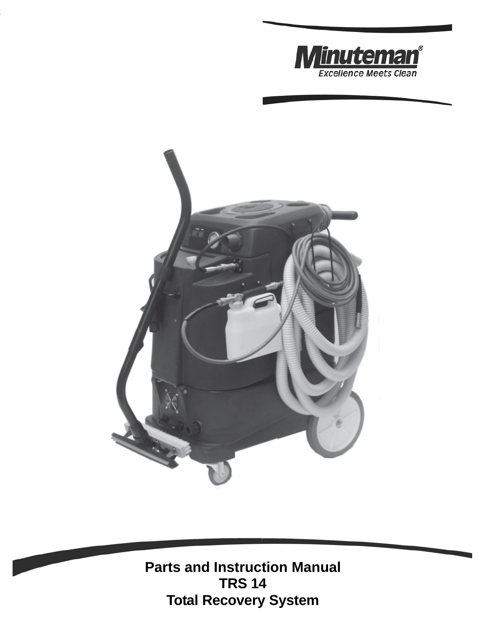



**Parts and Instruction Manual TRS 14 Total Recovery System**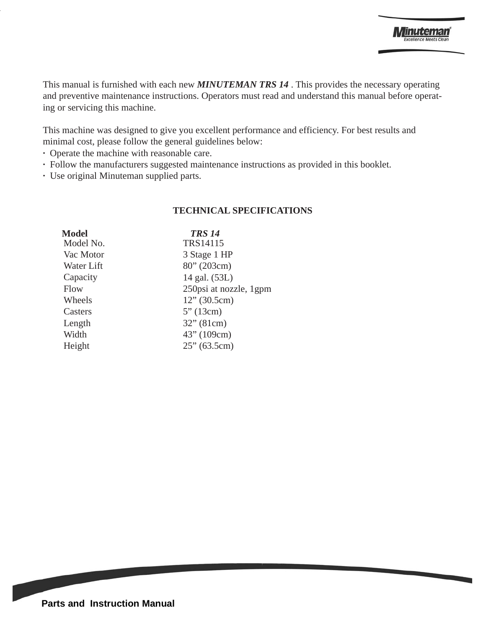This manual is furnished with each new *MINUTEMAN TRS 14* . This provides the necessary operating and preventive maintenance instructions. Operators must read and understand this manual before operating or servicing this machine.

This machine was designed to give you excellent performance and efficiency. For best results and minimal cost, please follow the general guidelines below:

- **·** Operate the machine with reasonable care.
- **·** Follow the manufacturers suggested maintenance instructions as provided in this booklet.
- **·** Use original Minuteman supplied parts.

#### **TECHNICAL SPECIFICATIONS**

| <b>Model</b> | <b>TRS 14</b>           |
|--------------|-------------------------|
| Model No.    | TRS14115                |
| Vac Motor    | 3 Stage 1 HP            |
| Water Lift   | 80''(203cm)             |
| Capacity     | 14 gal. (53L)           |
| Flow         | 250 psi at nozzle, 1gpm |
| Wheels       | 12" (30.5cm)            |
| Casters      | 5''(13cm)               |
| Length       | 32" (81cm)              |
| Width        | 43" (109cm)             |
| Height       | 25" (63.5cm)            |
|              |                         |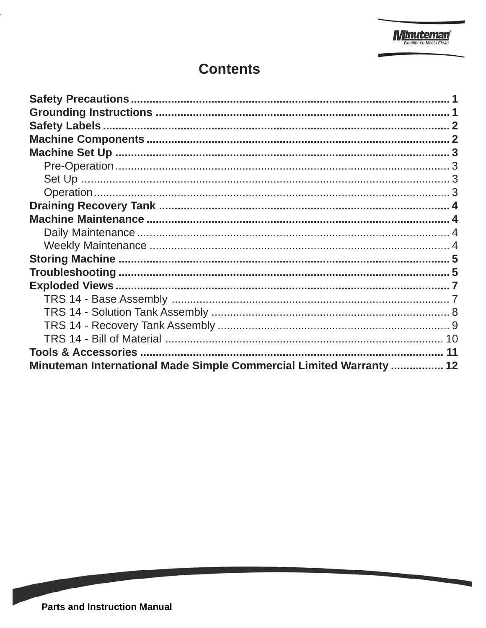# **Contents**

| Minuteman International Made Simple Commercial Limited Warranty  12 |  |
|---------------------------------------------------------------------|--|

**Contract Contract Contract Contract Contract Contract Contract Contract Contract Contract Contract Contract Co**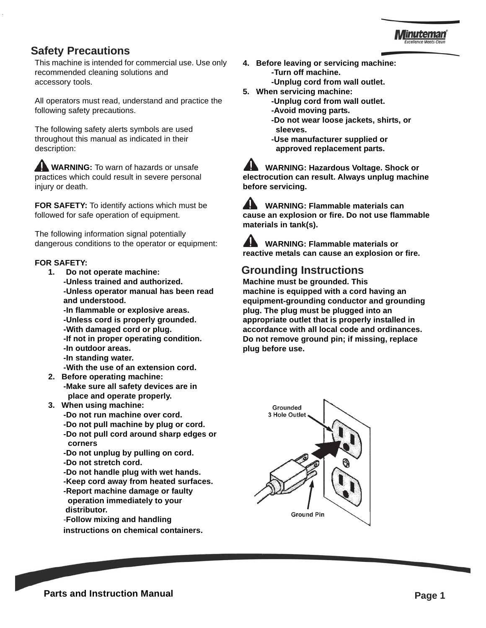### **Safety Precautions**

This machine is intended for commercial use. Use only recommended cleaning solutions and accessory tools.

All operators must read, understand and practice the following safety precautions.

The following safety alerts symbols are used throughout this manual as indicated in their description:

**AL WARNING:** To warn of hazards or unsafe practices which could result in severe personal injury or death.

**FOR SAFETY:** To identify actions which must be followed for safe operation of equipment.

The following information signal potentially dangerous conditions to the operator or equipment:

#### **FOR SAFETY:**

- **1. Do not operate machine: -Unless trained and authorized. -Unless operator manual has been read and understood.**
	- **-In flammable or explosive areas.**
	- **-Unless cord is properly grounded.**
	- **-With damaged cord or plug.**
	- **-If not in proper operating condition.**
	- **-In outdoor areas.**
	- **-In standing water.**

**-With the use of an extension cord.**

- **2. Before operating machine:**
	- **-Make sure all safety devices are in place and operate properly.**
- **3. When using machine:**
	- **-Do not run machine over cord.**
	- **-Do not pull machine by plug or cord.**
	- **-Do not pull cord around sharp edges or corners**
	- **-Do not unplug by pulling on cord.**
	- **-Do not stretch cord.**
	- **-Do not handle plug with wet hands.**
	- **-Keep cord away from heated surfaces.**
	- **-Report machine damage or faulty operation immediately to your distributor.**
	- -**Follow mixing and handling**

**instructions on chemical containers.**

- **4. Before leaving or servicing machine: -Turn off machine. -Unplug cord from wall outlet.**
- **5. When servicing machine:**
	- **-Unplug cord from wall outlet.**
		- **-Avoid moving parts.**
		- **-Do not wear loose jackets, shirts, or sleeves.**
		- **-Use manufacturer supplied or approved replacement parts.**

 **WARNING: Hazardous Voltage. Shock or electrocution can result. Always unplug machine before servicing.**

 **WARNING: Flammable materials can cause an explosion or fire. Do not use flammable materials in tank(s).**

 **WARNING: Flammable materials or reactive metals can cause an explosion or fire.**

# **Grounding Instructions**

**Machine must be grounded. This machine is equipped with a cord having an equipment-grounding conductor and grounding plug. The plug must be plugged into an appropriate outlet that is properly installed in accordance with all local code and ordinances. Do not remove ground pin; if missing, replace plug before use.**



**Parts and Instruction Manual Page 1**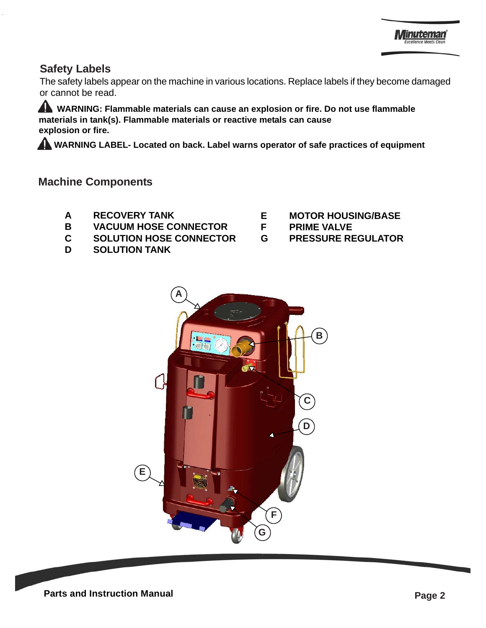# **Safety Labels**

The safety labels appear on the machine in various locations. Replace labels if they become damaged or cannot be read.

 **WARNING: Flammable materials can cause an explosion or fire. Do not use flammable materials in tank(s). Flammable materials or reactive metals can cause explosion or fire.**

 **WARNING LABEL- Located on back. Label warns operator of safe practices of equipment**

### **Machine Components**

- **A RECOVERY TANK**
- **B VACUUM HOSE CONNECTOR**
- **C SOLUTION HOSE CONNECTOR**
- **D SOLUTION TANK**
- **E MOTOR HOUSING/BASE**
- **F PRIME VALVE**
- **G PRESSURE REGULATOR**

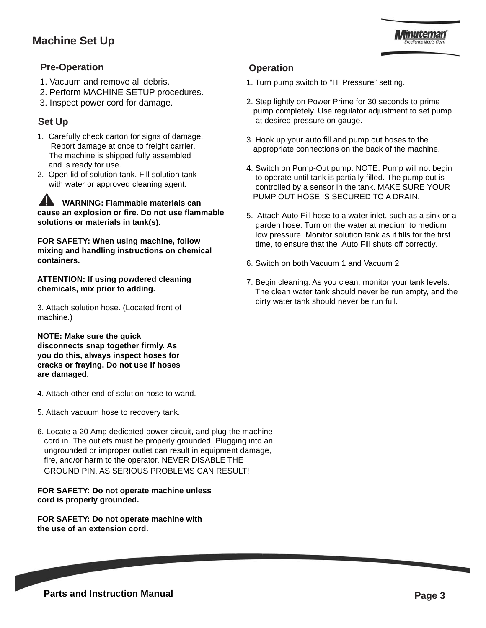# **Machine Set Up**



### **Pre-Operation**

- 1. Vacuum and remove all debris.
- 2. Perform MACHINE SETUP procedures.
- 3. Inspect power cord for damage.

### **Set Up**

- 1. Carefully check carton for signs of damage. Report damage at once to freight carrier. The machine is shipped fully assembled and is ready for use.
- 2. Open lid of solution tank. Fill solution tank with water or approved cleaning agent.

 **WARNING: Flammable materials can cause an explosion or fire. Do not use flammable solutions or materials in tank(s).**

**FOR SAFETY: When using machine, follow mixing and handling instructions on chemical containers.**

**ATTENTION: If using powdered cleaning chemicals, mix prior to adding.**

3. Attach solution hose. (Located front of machine.)

**NOTE: Make sure the quick disconnects snap together firmly. As you do this, always inspect hoses for cracks or fraying. Do not use if hoses are damaged.**

- 4. Attach other end of solution hose to wand.
- 5. Attach vacuum hose to recovery tank.
- 6. Locate a 20 Amp dedicated power circuit, and plug the machine cord in. The outlets must be properly grounded. Plugging into an ungrounded or improper outlet can result in equipment damage, fire, and/or harm to the operator. NEVER DISABLE THE GROUND PIN, AS SERIOUS PROBLEMS CAN RESULT!

#### **FOR SAFETY: Do not operate machine unless cord is properly grounded.**

**FOR SAFETY: Do not operate machine with the use of an extension cord.**

#### **Operation**

- 1. Turn pump switch to "Hi Pressure" setting.
- 2. Step lightly on Power Prime for 30 seconds to prime pump completely. Use regulator adjustment to set pump at desired pressure on gauge.
- 3. Hook up your auto fill and pump out hoses to the appropriate connections on the back of the machine.
- 4. Switch on Pump-Out pump. NOTE: Pump will not begin to operate until tank is partially filled. The pump out is controlled by a sensor in the tank. MAKE SURE YOUR PUMP OUT HOSE IS SECURED TO A DRAIN.
- 5. Attach Auto Fill hose to a water inlet, such as a sink or a garden hose. Turn on the water at medium to medium low pressure. Monitor solution tank as it fills for the first time, to ensure that the Auto Fill shuts off correctly.
- 6. Switch on both Vacuum 1 and Vacuum 2
- 7. Begin cleaning. As you clean, monitor your tank levels. The clean water tank should never be run empty, and the dirty water tank should never be run full.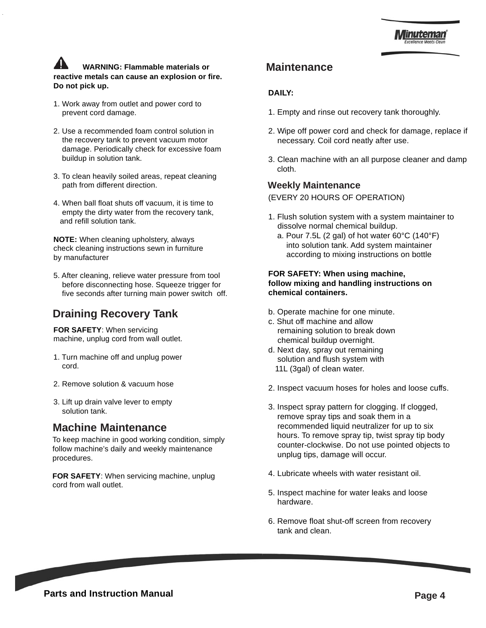### **WARNING: Flammable materials or reactive metals can cause an explosion or fire. Do not pick up.**

- 1. Work away from outlet and power cord to prevent cord damage.
- 2. Use a recommended foam control solution in the recovery tank to prevent vacuum motor damage. Periodically check for excessive foam buildup in solution tank.
- 3. To clean heavily soiled areas, repeat cleaning path from different direction.
- 4. When ball float shuts off vacuum, it is time to empty the dirty water from the recovery tank, and refill solution tank.

**NOTE:** When cleaning upholstery, always check cleaning instructions sewn in furniture by manufacturer

5. After cleaning, relieve water pressure from tool before disconnecting hose. Squeeze trigger for five seconds after turning main power switch off.

# **Draining Recovery Tank**

**FOR SAFETY**: When servicing machine, unplug cord from wall outlet.

- 1. Turn machine off and unplug power cord.
- 2. Remove solution & vacuum hose
- 3. Lift up drain valve lever to empty solution tank.

### **Machine Maintenance**

To keep machine in good working condition, simply follow machine's daily and weekly maintenance procedures.

**FOR SAFETY**: When servicing machine, unplug cord from wall outlet.

### **Maintenance**

#### **DAILY:**

- 1. Empty and rinse out recovery tank thoroughly.
- 2. Wipe off power cord and check for damage, replace if necessary. Coil cord neatly after use.
- 3. Clean machine with an all purpose cleaner and damp cloth.

#### **Weekly Maintenance**

(EVERY 20 HOURS OF OPERATION)

- 1. Flush solution system with a system maintainer to dissolve normal chemical buildup.
	- a. Pour 7.5L (2 gal) of hot water 60°C (140°F) into solution tank. Add system maintainer according to mixing instructions on bottle

#### **FOR SAFETY: When using machine, follow mixing and handling instructions on chemical containers.**

- b. Operate machine for one minute.
- c. Shut off machine and allow remaining solution to break down chemical buildup overnight.
- d. Next day, spray out remaining solution and flush system with 11L (3gal) of clean water.
- 2. Inspect vacuum hoses for holes and loose cuffs.
- 3. Inspect spray pattern for clogging. If clogged, remove spray tips and soak them in a recommended liquid neutralizer for up to six hours. To remove spray tip, twist spray tip body counter-clockwise. Do not use pointed objects to unplug tips, damage will occur.
- 4. Lubricate wheels with water resistant oil.
- 5. Inspect machine for water leaks and loose hardware.
- 6. Remove float shut-off screen from recovery tank and clean.

**Parts and Instruction Manual Page 4 Page 4**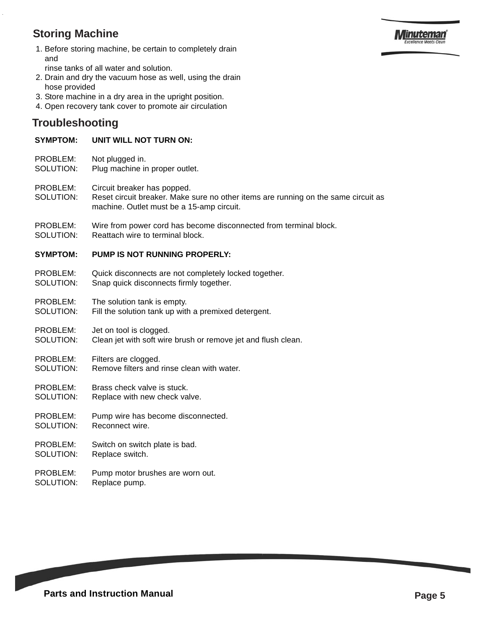# **Storing Machine**



1. Before storing machine, be certain to completely drain and

rinse tanks of all water and solution.

- 2. Drain and dry the vacuum hose as well, using the drain hose provided
- 3. Store machine in a dry area in the upright position.
- 4. Open recovery tank cover to promote air circulation

# **Troubleshooting**

#### **SYMPTOM: UNIT WILL NOT TURN ON:**

- PROBLEM: Not plugged in.
- SOLUTION: Plug machine in proper outlet.
- PROBLEM: Circuit breaker has popped.
- SOLUTION: Reset circuit breaker. Make sure no other items are running on the same circuit as machine. Outlet must be a 15-amp circuit.
- PROBLEM: Wire from power cord has become disconnected from terminal block.
- SOLUTION: Reattach wire to terminal block.

#### **SYMPTOM: PUMP IS NOT RUNNING PROPERLY:**

- PROBLEM: Quick disconnects are not completely locked together. SOLUTION: Snap quick disconnects firmly together.
- PROBLEM: The solution tank is empty.
- SOLUTION: Fill the solution tank up with a premixed detergent.

#### PROBLEM: Jet on tool is clogged.

SOLUTION: Clean jet with soft wire brush or remove jet and flush clean.

#### PROBLEM: Filters are clogged. SOLUTION: Remove filters and rinse clean with water.

- PROBLEM: Brass check valve is stuck. SOLUTION: Replace with new check valve.
- PROBLEM: Pump wire has become disconnected.
- SOLUTION: Reconnect wire.
- PROBLEM: Switch on switch plate is bad. SOLUTION: Replace switch.
- PROBLEM: Pump motor brushes are worn out. SOLUTION: Replace pump.

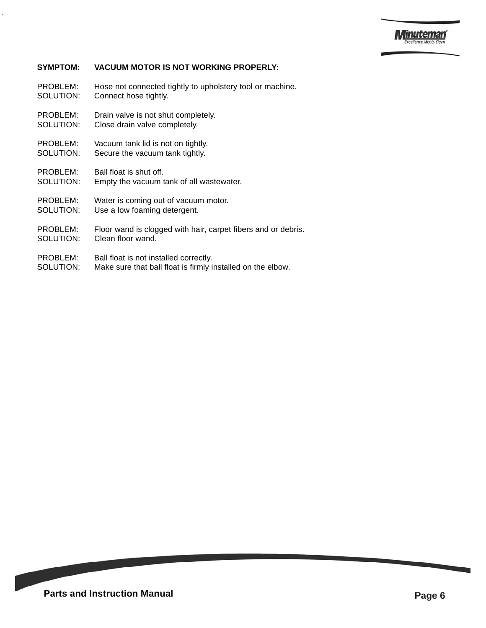

#### **SYMPTOM: VACUUM MOTOR IS NOT WORKING PROPERLY:**

PROBLEM: Hose not connected tightly to upholstery tool or machine. SOLUTION: Connect hose tightly.

- PROBLEM: Drain valve is not shut completely.
- SOLUTION: Close drain valve completely.
- PROBLEM: Vacuum tank lid is not on tightly. SOLUTION: Secure the vacuum tank tightly.
- PROBLEM: Ball float is shut off. SOLUTION: Empty the vacuum tank of all wastewater.
- PROBLEM: Water is coming out of vacuum motor.
- SOLUTION: Use a low foaming detergent.
- PROBLEM: Floor wand is clogged with hair, carpet fibers and or debris. SOLUTION: Clean floor wand.
- PROBLEM: Ball float is not installed correctly.
- SOLUTION: Make sure that ball float is firmly installed on the elbow.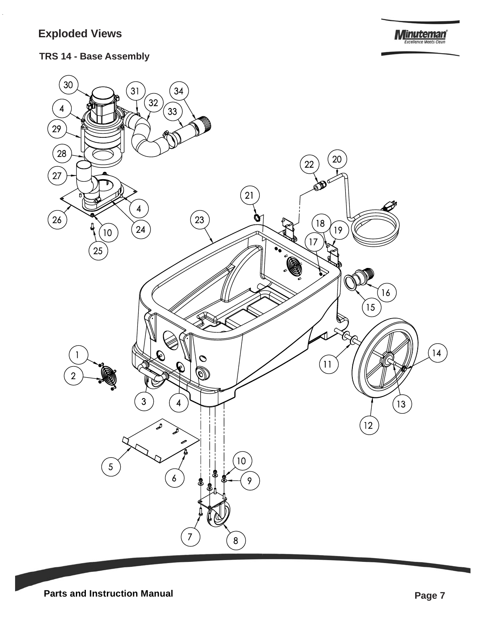# **Exploded Views**

**Minuteman** 

**TRS 14 - Base Assembly**

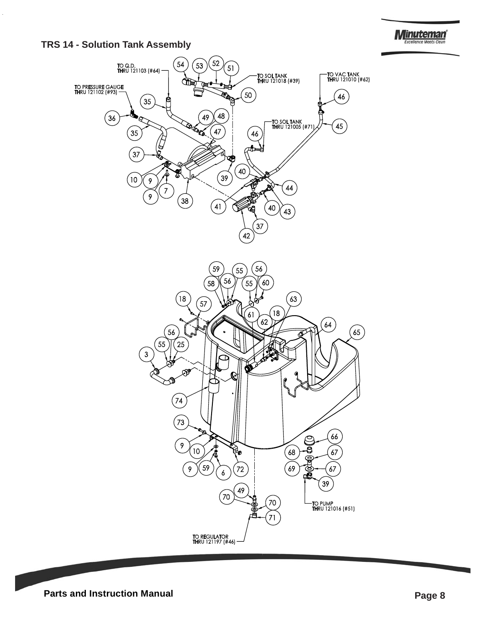**TRS 14 - Solution Tank Assembly**



**Minuteman**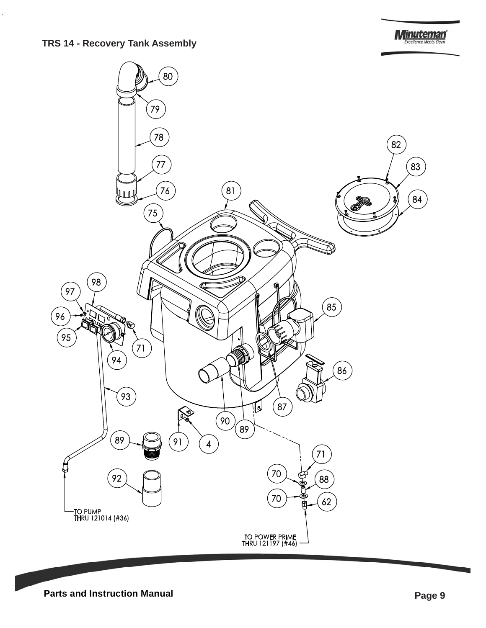#### **TRS 14 - Recovery Tank Assembly**

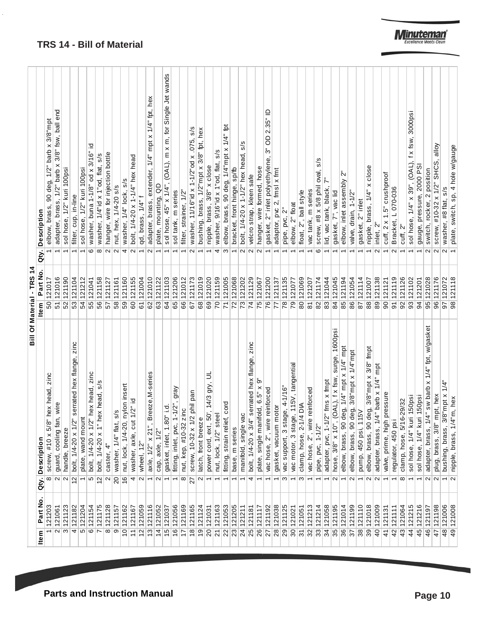|                           | Description<br>Qty. | elbow, brass, 90 deg, 1/2" barb x 3/8"mpt | adapter, brass, 1/2" barb x 3/8" fsw, ball end | sol hose, 1/2" kuri 100psi | filter, cup, in-line                                            | sol hose, 1/2" kuri 100psi | 으<br>washer, buna 1-1/8" od x 3/16"<br>G   | washer, 1/4"id x 1"od, flat, s/s<br>$\infty$        | hanger, wire for injection bottle<br>$\sim$ | nut, hex, 1/4-20 s/s<br>$ U $ 4 | ω<br>$\delta$<br>washer, 1/4" lock,                  | bolt, 1/4-20 x 1-1/4" hex head<br>$\sim$ | qd, brass, 1/4" f<br>$\overline{\phantom{0}}$ | adapter, brass, extender, 1/4" mpt x 1/4" fpt, hex<br>$\mathbf{\Omega}$ | plate, mounting, QD<br>$\overline{\phantom{0}}$ | (OAL), m x m, for Single Jet wands<br>sol hose, 45" x 1/4" | sol tank, m series                                             | filter, strainer, 1/2"        | s/s<br>washer, 11/16"id x 1-1/2"od x .075,<br>$\sim$ | bushing, brass, 1/2"mpt x 3/8" fpt, hex  | nipple, brass, 3/8" x close             | s/s<br>washer, 9/16"id x 1"od, flat,<br>4 | $\sharp$<br>elbow, brass, 90 deg, 1/4"mpt x 1/4"<br>S | bracket, front hinge, sp/fb | w<br>ø<br>bolt, 1/4-20 x 1-1/2" hex head, | velcro strap, kleen safe<br>$\mathbf{\Omega}$         | hanger, wire formed, hose         | $\overline{\phantom{a}}$<br>2.35"<br>$\overline{0}$<br>సే<br>gasket, 2" inlet polyethylene, | adaptor, pvc 2, fmsl x fmt | ้<br>ด<br>pipe, pvc,               | elbow, 2" float                      | float, 2", ball style       | vac tank, m series            | s/s<br>screw, #8 x 5/8 phil oval<br>ဖ | lid, vac tank, black,           | gasket, 7", vac lid                                              | ī۷<br>elbow, inlet assembly               | valve, drain, 1-1/2"                                         | gasket, 2" inlet       | nipple, brass, 1/4" x close                         | inlet, 2"<br>$\mathbf{\Omega}$                        | cuff, 2 x 1.5" crushproof   | Bracket, L 070-036 | cuff, 2"                            | 3000psi<br>f x fsw,<br>sol hose, 1/4" x 39", (OAL), | gauge, pressure, 2000 PS   | switch, rocker, 2 position<br>$\sim$                           | alloy<br>screw, #10-32 x 1/2" SHCS,             | washer, #8 flat, s/s                                       | plate, switch, sp, 4 hole w/gauge   |
|---------------------------|---------------------|-------------------------------------------|------------------------------------------------|----------------------------|-----------------------------------------------------------------|----------------------------|--------------------------------------------|-----------------------------------------------------|---------------------------------------------|---------------------------------|------------------------------------------------------|------------------------------------------|-----------------------------------------------|-------------------------------------------------------------------------|-------------------------------------------------|------------------------------------------------------------|----------------------------------------------------------------|-------------------------------|------------------------------------------------------|------------------------------------------|-----------------------------------------|-------------------------------------------|-------------------------------------------------------|-----------------------------|-------------------------------------------|-------------------------------------------------------|-----------------------------------|---------------------------------------------------------------------------------------------|----------------------------|------------------------------------|--------------------------------------|-----------------------------|-------------------------------|---------------------------------------|---------------------------------|------------------------------------------------------------------|-------------------------------------------|--------------------------------------------------------------|------------------------|-----------------------------------------------------|-------------------------------------------------------|-----------------------------|--------------------|-------------------------------------|-----------------------------------------------------|----------------------------|----------------------------------------------------------------|-------------------------------------------------|------------------------------------------------------------|-------------------------------------|
| Bill Of Material - TRS 14 | Part No.<br>ltem    | 50 121017                                 | 51 121016                                      | 52 121190                  | 53 121104                                                       | 54 121212                  | 55 121041                                  | 56 121158                                           | 57 121127                                   | 58 121161                       | 59 121160                                            | 60 121155                                | 61 121004                                     | 62 121010                                                               | 63 121122                                       | 64 121103                                                  | 65 121206                                                      | 66 121012                     | 67 121173                                            | 68 121019                                | 69 121020                               | 70 121159                                 | 71 121005                                             | 72 121068                   | 73 121202                                 | 74 121129                                             | 75 121067                         | 76 121200                                                                                   | 77 121137                  | 78 121135                          | 79 121077                            | 80 121069                   | 81 121207                     | 82 121174                             | 83 121044                       | 84 121045                                                        | 85 121194                                 | 86 121054                                                    | 87 121114              | 88 121007                                           | 89 121138                                             | 90 121121                   | 91 121119          | 92 121126                           | 93 121102                                           | 94 121201                  | 95 121028                                                      | 96 121176                                       | 97 121072                                                  | 98 121118                           |
|                           | Description<br>àty. | zinc<br>screw, #10 x 5/8" hex head,<br>∞  | guard, cooling fan, wire<br>$\sim$             | handle, breeze<br>$\sim$   | bolt, 1/4-20 x 1/2" serrated hex flange, zinc<br>$\overline{2}$ | plate, wand mount          | zinc<br>bolt, 1/4-20 x 1/2" hex head,<br>Ю | hex head, s/s<br>bolt, 1/4-20 x 1"<br>$\frac{2}{3}$ | caster, 4"<br>$\mathbf{\Omega}$             | s/s<br>washer, 1/4" flat<br>20  | , nylon insert<br>nut, lock, 1/4-20<br>$\frac{6}{5}$ | washer, axle, cut 1/2" id<br>4           | wheel, 12"<br>$\sim$                          | Breeze, M-series<br>axle, $1/2" \times 21"$<br>$\overline{ }$           | cap, axle, 1/2"<br>$\mathbf{\Omega}$            | gasket, inlet, 1.80" i.d.                                  | gray<br>$1 - 1/2$ ",<br>fitting, inlet, pvc,<br>$\overline{ }$ | zinc<br>nut, kep, #10-32<br>∞ | 1/2 phil pan<br>screw, 10-32 x<br>22                 | latch, front breeze<br>$\mathbf{\Omega}$ | 5<br>50', 14/3 gry,<br>power cord, ext, | nut, lock, 1/2" steel                     | fitting, strain relief, cord                          | base, m series              | vac<br>manifold, single                   | zinc<br>bolt, 1/4-20 x 3/4" serrated hex flange,<br>4 | plate, single manifold, 6.5" x 9" | vac hose, 2", wire reinforced                                                               | motor<br>gasket, vacuum    | vac support, 3 stage, 4-1/16"<br>ო | vac motor, 3 stage, 115V, tangential | clamp, hose, 2-1/4 DIA<br>ω | vac hose, 2", wire reinforced | pipe, pvc, 1-1/2"                     | adapter, pvc, 1-1/2" fms x fmpt | , (OAL), f x fsw, surge, 1600psi<br>hose, $3/8" \times 10"$<br>Z | elbow, brass, 90 deg, 1/4" mpt x 1/4" mpt | elbow, brass, 90 deg, 3/8"mpt x 1/4"mpt<br>$\mathbf{\Omega}$ | 115V<br>pump, 450 psi, | elbow, brass, 90 deg, 3/8"mpt x 3/8" fmpt<br>$\sim$ | $1/4"$ barb x $1/4"$ mpt<br>adapter, brass,<br>$\sim$ | valve, prime, high pressure | regulator, 450 psi | clamp, hose, 5/16-29/32<br>$\infty$ | sol hose, 1/4" kuri 150psi                          | sol hose, 1/4" kuri 150psi | 1/4" sw barb x 1/4" fpt, w/gasket<br>adapter, brass,<br>$\sim$ | plug, brass, 3/8" mpt, hex<br>$\mathbf{\Omega}$ | $3/8$ " mpt x $1/4$ "<br>bushing, brass,<br>$\overline{ }$ | nipple, brass, 1/4"m, hex<br>$\sim$ |
|                           | Part No.<br>ltem    | 121203                                    | 121061<br>$\sim$                               | 121123<br>$\infty$         | 121182<br>4                                                     | 121204<br>Ю                | 121154<br>∣అ                               | 121175<br>$\overline{ }$                            | 121128<br>$\infty$                          | 9 121157                        | 10 121162                                            | 11 121167                                | 12 121059                                     | 13 121116                                                               | 14 121052                                       | 15 121037                                                  | 16 121056                                                      | 17 121169                     | 18 121165                                            | $19$ 121124                              | 20 121031                               | 21 121163                                 | 22 121053                                             | 23 121205                   | 24 121211                                 | 25 121181                                             | 26 121117                         | 27 121192                                                                                   | 28 121038                  | 29 121125                          | 30 121021                            | 31 121051                   | 32 121213                     | 33 121214                             | 34 121058                       | 35 121195                                                        | 36 121014                                 | 37 121199                                                    | 38 121110              | 39 121018                                           | 40 121009                                             | 41 121131                   | 42 121111          | 43 121064                           | 44 121215                                           | 45 121216                  | 46 121197                                                      | 47 121198                                       | 48 121006                                                  | 49 121008                           |

#### **TRS 14 - Bill of Material**

J.

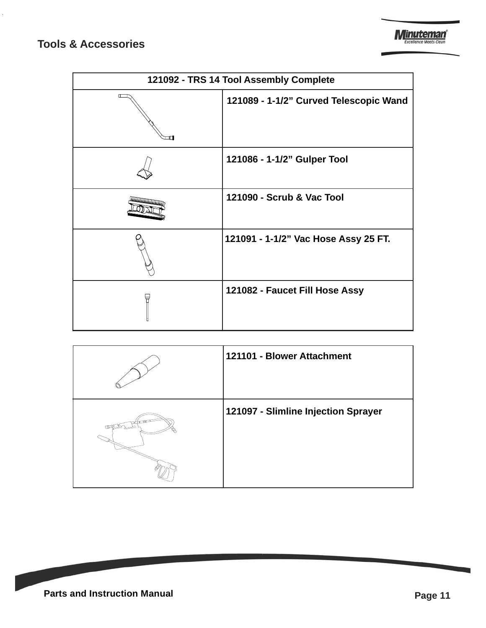### **Tools & Accessories**

|    | 121092 - TRS 14 Tool Assembly Complete |  |  |  |  |  |  |  |
|----|----------------------------------------|--|--|--|--|--|--|--|
| ╓╌ | 121089 - 1-1/2" Curved Telescopic Wand |  |  |  |  |  |  |  |
|    | 121086 - 1-1/2" Gulper Tool            |  |  |  |  |  |  |  |
|    | 121090 - Scrub & Vac Tool              |  |  |  |  |  |  |  |
|    | 121091 - 1-1/2" Vac Hose Assy 25 FT.   |  |  |  |  |  |  |  |
|    | 121082 - Faucet Fill Hose Assy         |  |  |  |  |  |  |  |

|             | 121101 - Blower Attachment          |
|-------------|-------------------------------------|
| <b>ULTP</b> | 121097 - Slimline Injection Sprayer |